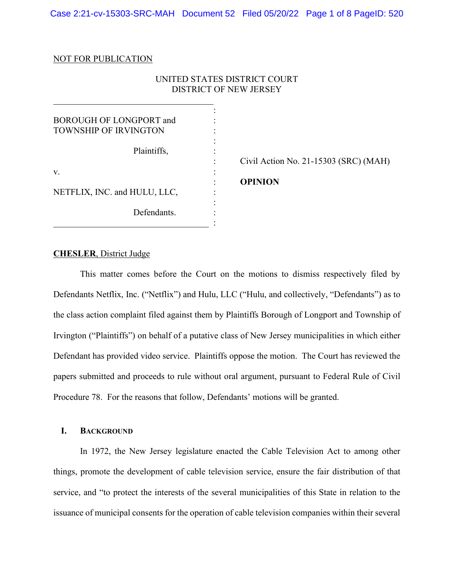#### NOT FOR PUBLICATION

## UNITED STATES DISTRICT COURT DISTRICT OF NEW JERSEY

| <b>BOROUGH OF LONGPORT and</b><br><b>TOWNSHIP OF IRVINGTON</b> |  |
|----------------------------------------------------------------|--|
| Plaintiffs,                                                    |  |
| V.                                                             |  |
| NETFLIX, INC. and HULU, LLC,                                   |  |
| Defendants.                                                    |  |

 $\mathcal{L}_\mathcal{L}$ 

: Civil Action No. 21-15303 (SRC) (MAH)

: **OPINION** 

#### **CHESLER**, District Judge

This matter comes before the Court on the motions to dismiss respectively filed by Defendants Netflix, Inc. ("Netflix") and Hulu, LLC ("Hulu, and collectively, "Defendants") as to the class action complaint filed against them by Plaintiffs Borough of Longport and Township of Irvington ("Plaintiffs") on behalf of a putative class of New Jersey municipalities in which either Defendant has provided video service. Plaintiffs oppose the motion. The Court has reviewed the papers submitted and proceeds to rule without oral argument, pursuant to Federal Rule of Civil Procedure 78. For the reasons that follow, Defendants' motions will be granted.

# **I. BACKGROUND**

In 1972, the New Jersey legislature enacted the Cable Television Act to among other things, promote the development of cable television service, ensure the fair distribution of that service, and "to protect the interests of the several municipalities of this State in relation to the issuance of municipal consents for the operation of cable television companies within their several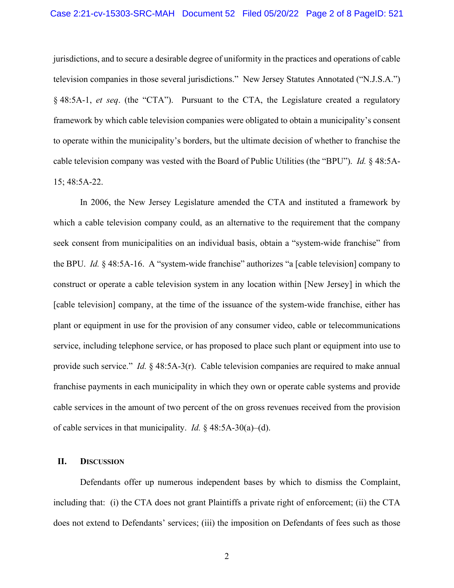jurisdictions, and to secure a desirable degree of uniformity in the practices and operations of cable television companies in those several jurisdictions." New Jersey Statutes Annotated ("N.J.S.A.") § 48:5A-1, *et seq*. (the "CTA"). Pursuant to the CTA, the Legislature created a regulatory framework by which cable television companies were obligated to obtain a municipality's consent to operate within the municipality's borders, but the ultimate decision of whether to franchise the cable television company was vested with the Board of Public Utilities (the "BPU"). *Id.* § 48:5A-15; 48:5A-22.

In 2006, the New Jersey Legislature amended the CTA and instituted a framework by which a cable television company could, as an alternative to the requirement that the company seek consent from municipalities on an individual basis, obtain a "system-wide franchise" from the BPU. *Id.* § 48:5A-16. A "system-wide franchise" authorizes "a [cable television] company to construct or operate a cable television system in any location within [New Jersey] in which the [cable television] company, at the time of the issuance of the system-wide franchise, either has plant or equipment in use for the provision of any consumer video, cable or telecommunications service, including telephone service, or has proposed to place such plant or equipment into use to provide such service." *Id.* § 48:5A-3(r). Cable television companies are required to make annual franchise payments in each municipality in which they own or operate cable systems and provide cable services in the amount of two percent of the on gross revenues received from the provision of cable services in that municipality. *Id.* § 48:5A-30(a)–(d).

## **II. DISCUSSION**

Defendants offer up numerous independent bases by which to dismiss the Complaint, including that: (i) the CTA does not grant Plaintiffs a private right of enforcement; (ii) the CTA does not extend to Defendants' services; (iii) the imposition on Defendants of fees such as those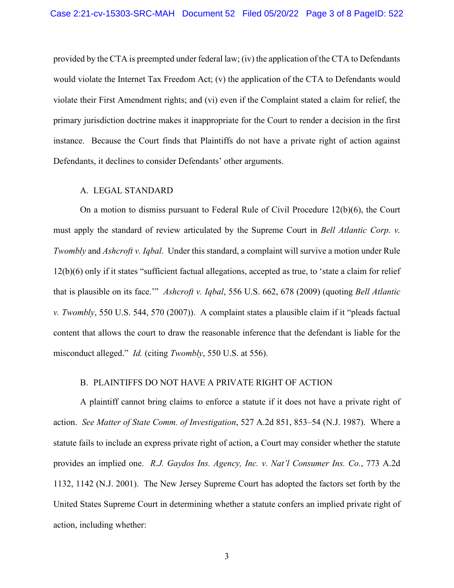provided by the CTA is preempted under federal law; (iv) the application of the CTA to Defendants would violate the Internet Tax Freedom Act; (v) the application of the CTA to Defendants would violate their First Amendment rights; and (vi) even if the Complaint stated a claim for relief, the primary jurisdiction doctrine makes it inappropriate for the Court to render a decision in the first instance. Because the Court finds that Plaintiffs do not have a private right of action against Defendants, it declines to consider Defendants' other arguments.

#### A. LEGAL STANDARD

On a motion to dismiss pursuant to Federal Rule of Civil Procedure 12(b)(6), the Court must apply the standard of review articulated by the Supreme Court in *Bell Atlantic Corp. v. Twombly* and *Ashcroft v. Iqbal*. Under this standard, a complaint will survive a motion under Rule 12(b)(6) only if it states "sufficient factual allegations, accepted as true, to 'state a claim for relief that is plausible on its face.'" *Ashcroft v. Iqbal*, 556 U.S. 662, 678 (2009) (quoting *Bell Atlantic v. Twombly*, 550 U.S. 544, 570 (2007)). A complaint states a plausible claim if it "pleads factual content that allows the court to draw the reasonable inference that the defendant is liable for the misconduct alleged." *Id.* (citing *Twombly*, 550 U.S. at 556).

## B. PLAINTIFFS DO NOT HAVE A PRIVATE RIGHT OF ACTION

A plaintiff cannot bring claims to enforce a statute if it does not have a private right of action. *See Matter of State Comm. of Investigation*, 527 A.2d 851, 853–54 (N.J. 1987). Where a statute fails to include an express private right of action, a Court may consider whether the statute provides an implied one. *R.J. Gaydos Ins. Agency, Inc. v. Nat'l Consumer Ins. Co.*, 773 A.2d 1132, 1142 (N.J. 2001). The New Jersey Supreme Court has adopted the factors set forth by the United States Supreme Court in determining whether a statute confers an implied private right of action, including whether: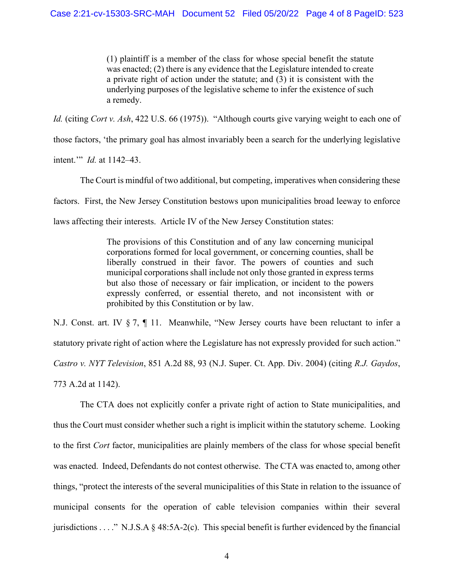(1) plaintiff is a member of the class for whose special benefit the statute was enacted; (2) there is any evidence that the Legislature intended to create a private right of action under the statute; and (3) it is consistent with the underlying purposes of the legislative scheme to infer the existence of such a remedy.

*Id.* (citing *Cort v. Ash*, 422 U.S. 66 (1975)). "Although courts give varying weight to each one of

those factors, 'the primary goal has almost invariably been a search for the underlying legislative

intent.'" *Id.* at 1142–43.

The Court is mindful of two additional, but competing, imperatives when considering these

factors. First, the New Jersey Constitution bestows upon municipalities broad leeway to enforce

laws affecting their interests. Article IV of the New Jersey Constitution states:

The provisions of this Constitution and of any law concerning municipal corporations formed for local government, or concerning counties, shall be liberally construed in their favor. The powers of counties and such municipal corporations shall include not only those granted in express terms but also those of necessary or fair implication, or incident to the powers expressly conferred, or essential thereto, and not inconsistent with or prohibited by this Constitution or by law.

N.J. Const. art. IV § 7, ¶ 11. Meanwhile, "New Jersey courts have been reluctant to infer a statutory private right of action where the Legislature has not expressly provided for such action." *Castro v. NYT Television*, 851 A.2d 88, 93 (N.J. Super. Ct. App. Div. 2004) (citing *R.J. Gaydos*, 773 A.2d at 1142).

The CTA does not explicitly confer a private right of action to State municipalities, and thus the Court must consider whether such a right is implicit within the statutory scheme. Looking to the first *Cort* factor, municipalities are plainly members of the class for whose special benefit was enacted. Indeed, Defendants do not contest otherwise. The CTA was enacted to, among other things, "protect the interests of the several municipalities of this State in relation to the issuance of municipal consents for the operation of cable television companies within their several jurisdictions . . . ." N.J.S.A § 48:5A-2(c). This special benefit is further evidenced by the financial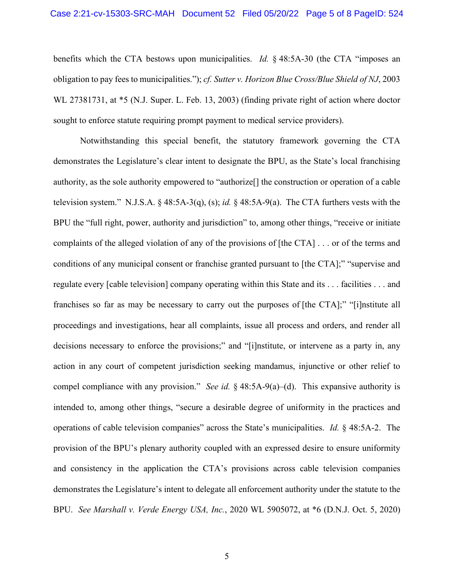benefits which the CTA bestows upon municipalities. *Id.* § 48:5A-30 (the CTA "imposes an obligation to pay fees to municipalities."); *cf. Sutter v. Horizon Blue Cross/Blue Shield of NJ*, 2003 WL 27381731, at \*5 (N.J. Super. L. Feb. 13, 2003) (finding private right of action where doctor sought to enforce statute requiring prompt payment to medical service providers).

Notwithstanding this special benefit, the statutory framework governing the CTA demonstrates the Legislature's clear intent to designate the BPU, as the State's local franchising authority, as the sole authority empowered to "authorize[] the construction or operation of a cable television system." N.J.S.A. § 48:5A-3(q), (s); *id.* § 48:5A-9(a). The CTA furthers vests with the BPU the "full right, power, authority and jurisdiction" to, among other things, "receive or initiate complaints of the alleged violation of any of the provisions of [the CTA] . . . or of the terms and conditions of any municipal consent or franchise granted pursuant to [the CTA];" "supervise and regulate every [cable television] company operating within this State and its . . . facilities . . . and franchises so far as may be necessary to carry out the purposes of [the CTA];" "[i]nstitute all proceedings and investigations, hear all complaints, issue all process and orders, and render all decisions necessary to enforce the provisions;" and "[i]nstitute, or intervene as a party in, any action in any court of competent jurisdiction seeking mandamus, injunctive or other relief to compel compliance with any provision." *See id.* § 48:5A-9(a)–(d). This expansive authority is intended to, among other things, "secure a desirable degree of uniformity in the practices and operations of cable television companies" across the State's municipalities. *Id.* § 48:5A-2. The provision of the BPU's plenary authority coupled with an expressed desire to ensure uniformity and consistency in the application the CTA's provisions across cable television companies demonstrates the Legislature's intent to delegate all enforcement authority under the statute to the BPU. *See Marshall v. Verde Energy USA, Inc.*, 2020 WL 5905072, at \*6 (D.N.J. Oct. 5, 2020)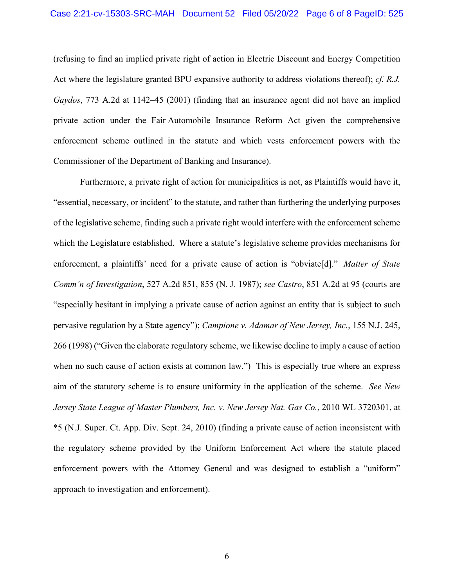(refusing to find an implied private right of action in Electric Discount and Energy Competition Act where the legislature granted BPU expansive authority to address violations thereof); *cf. R.J. Gaydos*, 773 A.2d at 1142–45 (2001) (finding that an insurance agent did not have an implied private action under the Fair Automobile Insurance Reform Act given the comprehensive enforcement scheme outlined in the statute and which vests enforcement powers with the Commissioner of the Department of Banking and Insurance).

Furthermore, a private right of action for municipalities is not, as Plaintiffs would have it, "essential, necessary, or incident" to the statute, and rather than furthering the underlying purposes of the legislative scheme, finding such a private right would interfere with the enforcement scheme which the Legislature established. Where a statute's legislative scheme provides mechanisms for enforcement, a plaintiffs' need for a private cause of action is "obviate[d]." *Matter of State Comm'n of Investigation*, 527 A.2d 851, 855 (N. J. 1987); *see Castro*, 851 A.2d at 95 (courts are "especially hesitant in implying a private cause of action against an entity that is subject to such pervasive regulation by a State agency"); *Campione v. Adamar of New Jersey, Inc.*, 155 N.J. 245, 266 (1998) ("Given the elaborate regulatory scheme, we likewise decline to imply a cause of action when no such cause of action exists at common law.") This is especially true where an express aim of the statutory scheme is to ensure uniformity in the application of the scheme. *See New Jersey State League of Master Plumbers, Inc. v. New Jersey Nat. Gas Co.*, 2010 WL 3720301, at \*5 (N.J. Super. Ct. App. Div. Sept. 24, 2010) (finding a private cause of action inconsistent with the regulatory scheme provided by the Uniform Enforcement Act where the statute placed enforcement powers with the Attorney General and was designed to establish a "uniform" approach to investigation and enforcement).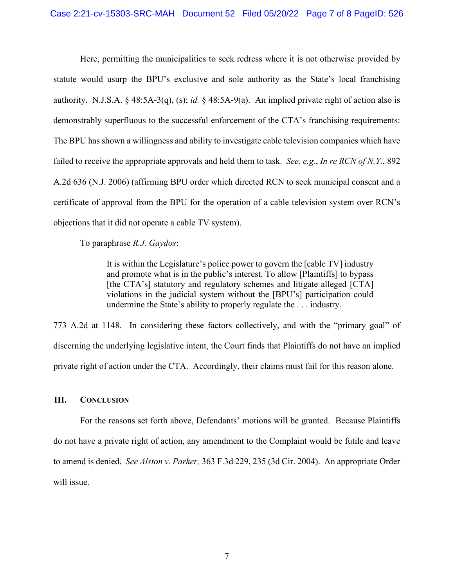Here, permitting the municipalities to seek redress where it is not otherwise provided by statute would usurp the BPU's exclusive and sole authority as the State's local franchising authority. N.J.S.A. § 48:5A-3(q), (s); *id.* § 48:5A-9(a). An implied private right of action also is demonstrably superfluous to the successful enforcement of the CTA's franchising requirements: The BPU has shown a willingness and ability to investigate cable television companies which have failed to receive the appropriate approvals and held them to task. *See, e.g.*, *In re RCN of N.Y.*, 892 A.2d 636 (N.J. 2006) (affirming BPU order which directed RCN to seek municipal consent and a certificate of approval from the BPU for the operation of a cable television system over RCN's objections that it did not operate a cable TV system).

To paraphrase *R.J. Gaydos*:

It is within the Legislature's police power to govern the [cable TV] industry and promote what is in the public's interest. To allow [Plaintiffs] to bypass [the CTA's] statutory and regulatory schemes and litigate alleged [CTA] violations in the judicial system without the [BPU's] participation could undermine the State's ability to properly regulate the . . . industry.

773 A.2d at 1148. In considering these factors collectively, and with the "primary goal" of discerning the underlying legislative intent, the Court finds that Plaintiffs do not have an implied private right of action under the CTA. Accordingly, their claims must fail for this reason alone.

## **III. CONCLUSION**

For the reasons set forth above, Defendants' motions will be granted. Because Plaintiffs do not have a private right of action, any amendment to the Complaint would be futile and leave to amend is denied. *See Alston v. Parker,* 363 F.3d 229, 235 (3d Cir. 2004). An appropriate Order will issue.